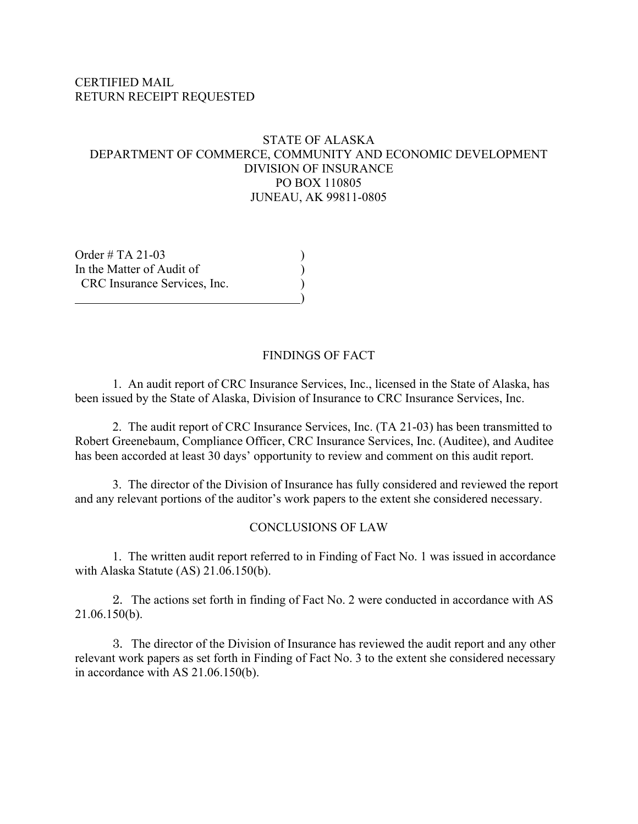### CERTIFIED MAIL RETURN RECEIPT REQUESTED

### STATE OF ALASKA DEPARTMENT OF COMMERCE, COMMUNITY AND ECONOMIC DEVELOPMENT DIVISION OF INSURANCE PO BOX 110805 JUNEAU, AK 99811-0805

Order  $\#$  TA 21-03 In the Matter of Audit of  $($ CRC Insurance Services, Inc.  $\qquad \qquad \qquad$ 

### FINDINGS OF FACT

1. An audit report of CRC Insurance Services, Inc., licensed in the State of Alaska, has been issued by the State of Alaska, Division of Insurance to CRC Insurance Services, Inc.

2. The audit report of CRC Insurance Services, Inc. (TA 21-03) has been transmitted to Robert Greenebaum, Compliance Officer, CRC Insurance Services, Inc. (Auditee), and Auditee has been accorded at least 30 days' opportunity to review and comment on this audit report.

3. The director of the Division of Insurance has fully considered and reviewed the report and any relevant portions of the auditor's work papers to the extent she considered necessary.

#### CONCLUSIONS OF LAW

1. The written audit report referred to in Finding of Fact No. 1 was issued in accordance with Alaska Statute (AS) 21.06.150(b).

2. The actions set forth in finding of Fact No. 2 were conducted in accordance with AS 21.06.150(b).

3. The director of the Division of Insurance has reviewed the audit report and any other relevant work papers as set forth in Finding of Fact No. 3 to the extent she considered necessary in accordance with AS 21.06.150(b).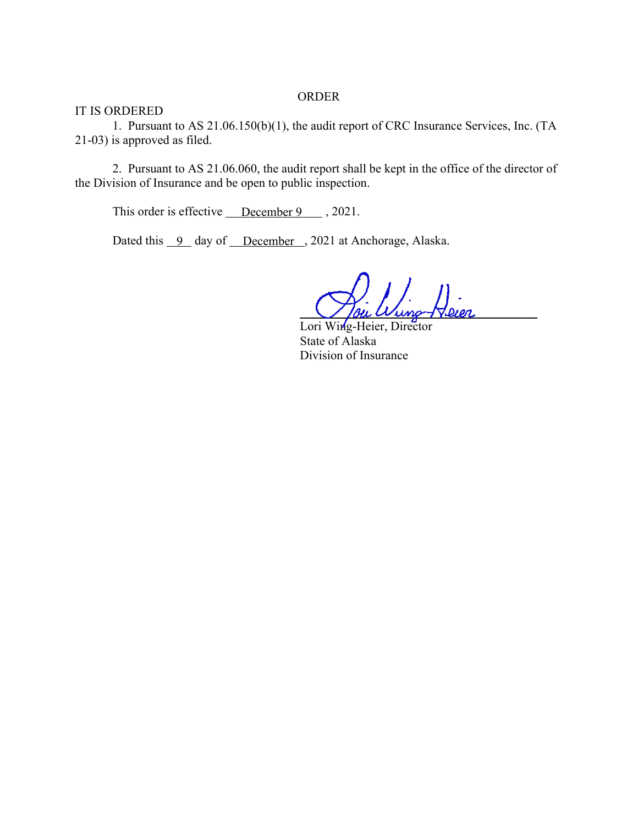#### ORDER

IT IS ORDERED

1. Pursuant to AS 21.06.150(b)(1), the audit report of CRC Insurance Services, Inc. (TA 21-03) is approved as filed.

2. Pursuant to AS 21.06.060, the audit report shall be kept in the office of the director of the Division of Insurance and be open to public inspection.

This order is effective  $\sqrt{\frac{1}{2}}$  December 9 . 2021.

Dated this 9 day of December, 2021 at Anchorage, Alaska.

 $\bigvee$  lou  $W$ ung- $\nabla$ leer

Lori Wing-Heier, Director State of Alaska Division of Insurance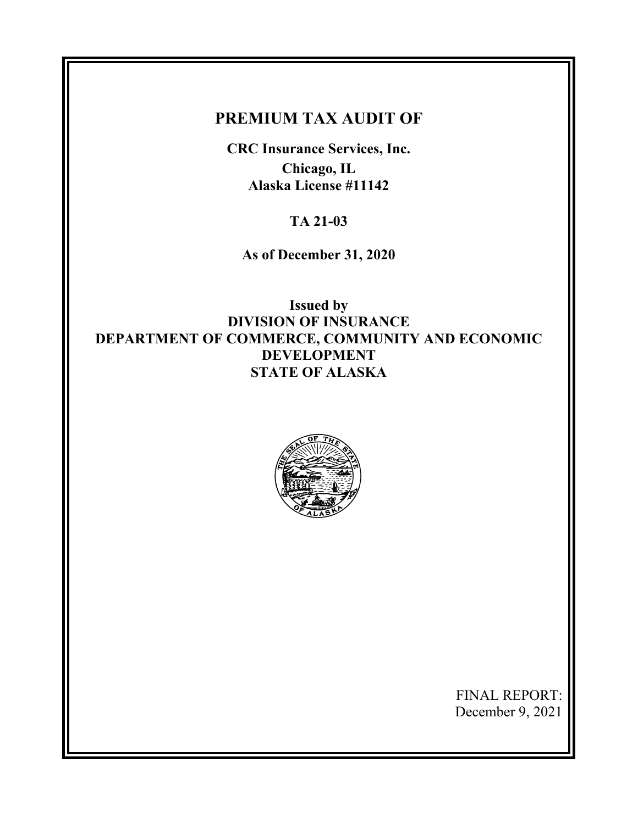# **PREMIUM TAX AUDIT OF**

**CRC Insurance Services, Inc. Chicago, IL Alaska License #11142** 

**TA 21-03** 

**As of December 31, 2020** 

**Issued by DIVISION OF INSURANCE DEPARTMENT OF COMMERCE, COMMUNITY AND ECONOMIC DEVELOPMENT STATE OF ALASKA** 



FINAL REPORT: December 9, 2021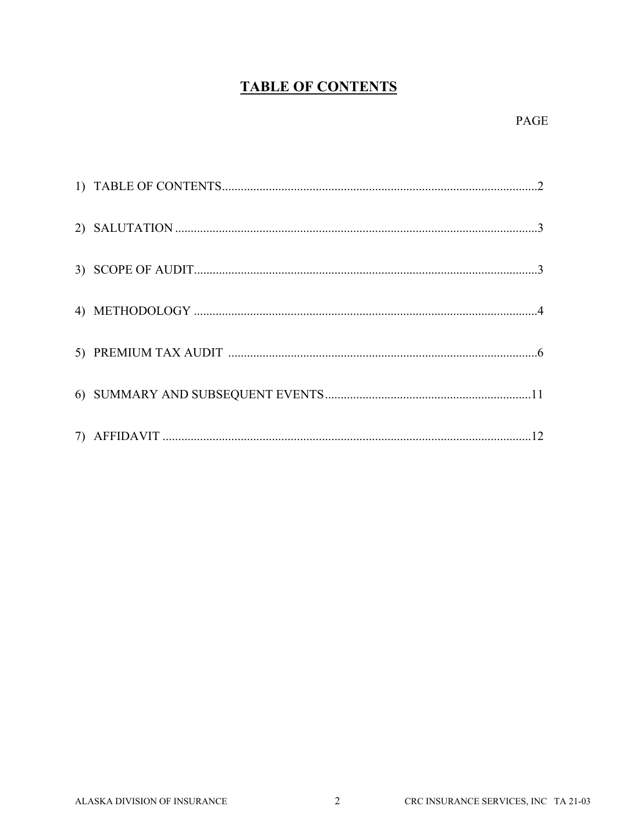# **TABLE OF CONTENTS**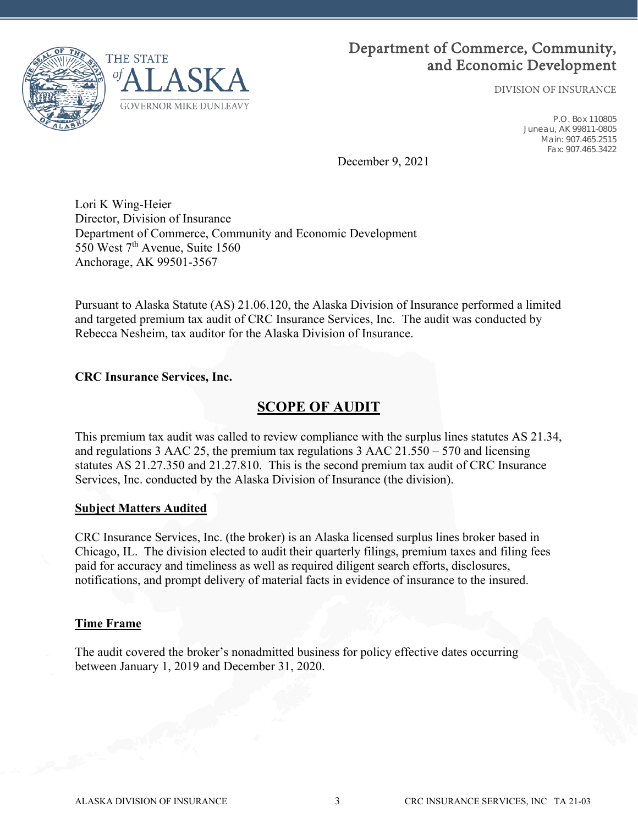

# Department of Commerce, Community, and Economic Development

DIVISION OF INSURANCE

P.O. Box 110805 Juneau, AK 99811-0805 Main: 907.465.2515 Fax: 907.465.3422

December 9, 2021

Lori K Wing-Heier Director, Division of Insurance Department of Commerce, Community and Economic Development 550 West 7<sup>th</sup> Avenue, Suite 1560 Anchorage, AK 99501-3567

Pursuant to Alaska Statute (AS) 21.06.120, the Alaska Division of Insurance performed a limited and targeted premium tax audit of CRC Insurance Services, Inc. The audit was conducted by Rebecca Nesheim, tax auditor for the Alaska Division of Insurance.

### **CRC Insurance Services, Inc.**

### **SCOPE OF AUDIT**

This premium tax audit was called to review compliance with the surplus lines statutes AS 21.34, and regulations 3 AAC 25, the premium tax regulations 3 AAC 21.550 – 570 and licensing statutes AS 21.27.350 and 21.27.810. This is the second premium tax audit of CRC Insurance Services, Inc. conducted by the Alaska Division of Insurance (the division).

### **Subject Matters Audited**

CRC Insurance Services, Inc. (the broker) is an Alaska licensed surplus lines broker based in Chicago, IL. The division elected to audit their quarterly filings, premium taxes and filing fees paid for accuracy and timeliness as well as required diligent search efforts, disclosures, notifications, and prompt delivery of material facts in evidence of insurance to the insured.

### **Time Frame**

The audit covered the broker's nonadmitted business for policy effective dates occurring between January 1, 2019 and December 31, 2020.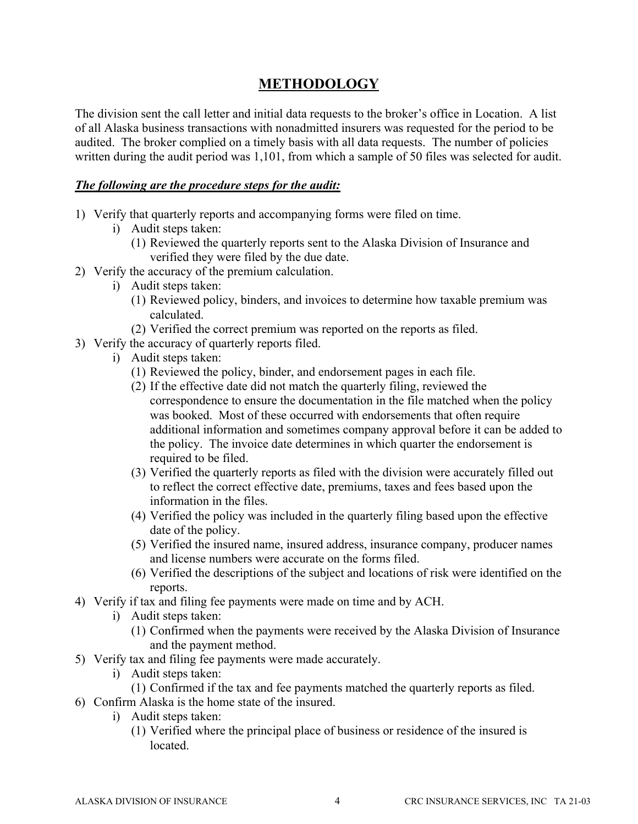### **METHODOLOGY**

The division sent the call letter and initial data requests to the broker's office in Location. A list of all Alaska business transactions with nonadmitted insurers was requested for the period to be audited. The broker complied on a timely basis with all data requests. The number of policies written during the audit period was 1,101, from which a sample of 50 files was selected for audit.

### *The following are the procedure steps for the audit:*

- 1) Verify that quarterly reports and accompanying forms were filed on time.
	- i) Audit steps taken:
		- (1) Reviewed the quarterly reports sent to the Alaska Division of Insurance and verified they were filed by the due date.
- 2) Verify the accuracy of the premium calculation.
	- i) Audit steps taken:
		- (1) Reviewed policy, binders, and invoices to determine how taxable premium was calculated.
		- (2) Verified the correct premium was reported on the reports as filed.
- 3) Verify the accuracy of quarterly reports filed.
	- i) Audit steps taken:
		- (1) Reviewed the policy, binder, and endorsement pages in each file.
		- (2) If the effective date did not match the quarterly filing, reviewed the correspondence to ensure the documentation in the file matched when the policy was booked. Most of these occurred with endorsements that often require additional information and sometimes company approval before it can be added to the policy. The invoice date determines in which quarter the endorsement is required to be filed.
		- (3) Verified the quarterly reports as filed with the division were accurately filled out to reflect the correct effective date, premiums, taxes and fees based upon the information in the files.
		- (4) Verified the policy was included in the quarterly filing based upon the effective date of the policy.
		- (5) Verified the insured name, insured address, insurance company, producer names and license numbers were accurate on the forms filed.
		- (6) Verified the descriptions of the subject and locations of risk were identified on the reports.
- 4) Verify if tax and filing fee payments were made on time and by ACH.
	- i) Audit steps taken:
		- (1) Confirmed when the payments were received by the Alaska Division of Insurance and the payment method.
- 5) Verify tax and filing fee payments were made accurately.
	- i) Audit steps taken:
		- (1) Confirmed if the tax and fee payments matched the quarterly reports as filed.
- 6) Confirm Alaska is the home state of the insured.
	- i) Audit steps taken:
		- (1) Verified where the principal place of business or residence of the insured is located.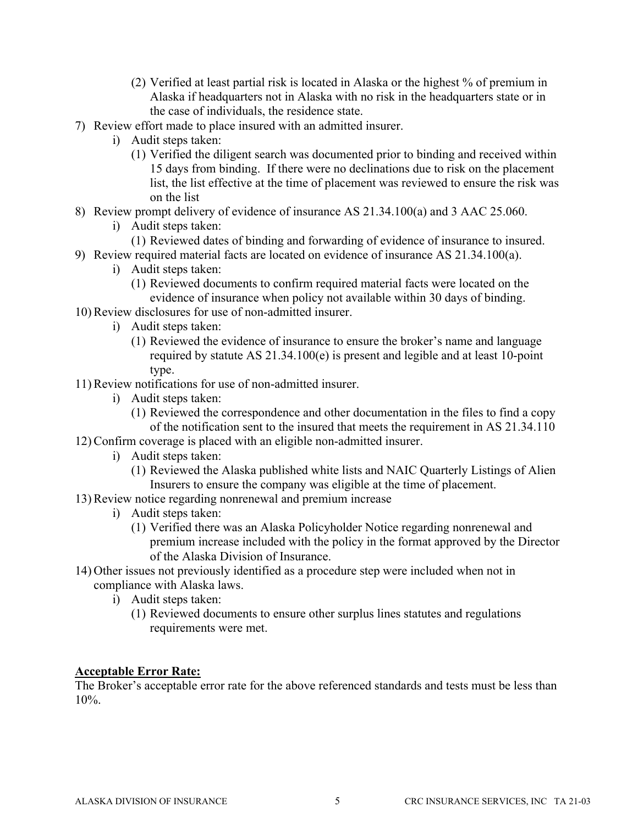- (2) Verified at least partial risk is located in Alaska or the highest % of premium in Alaska if headquarters not in Alaska with no risk in the headquarters state or in the case of individuals, the residence state.
- 7) Review effort made to place insured with an admitted insurer.
	- i) Audit steps taken:
		- (1) Verified the diligent search was documented prior to binding and received within 15 days from binding. If there were no declinations due to risk on the placement list, the list effective at the time of placement was reviewed to ensure the risk was on the list
- 8) Review prompt delivery of evidence of insurance AS 21.34.100(a) and 3 AAC 25.060.
	- i) Audit steps taken:
		- (1) Reviewed dates of binding and forwarding of evidence of insurance to insured.
- 9) Review required material facts are located on evidence of insurance AS 21.34.100(a).
	- i) Audit steps taken:
		- (1) Reviewed documents to confirm required material facts were located on the evidence of insurance when policy not available within 30 days of binding.
- 10) Review disclosures for use of non-admitted insurer.
	- i) Audit steps taken:
		- (1) Reviewed the evidence of insurance to ensure the broker's name and language required by statute AS 21.34.100(e) is present and legible and at least 10-point type.
- 11) Review notifications for use of non-admitted insurer.
	- i) Audit steps taken:
		- (1) Reviewed the correspondence and other documentation in the files to find a copy of the notification sent to the insured that meets the requirement in AS 21.34.110
- 12) Confirm coverage is placed with an eligible non-admitted insurer.
	- i) Audit steps taken:
		- (1) Reviewed the Alaska published white lists and NAIC Quarterly Listings of Alien Insurers to ensure the company was eligible at the time of placement.
- 13) Review notice regarding nonrenewal and premium increase
	- i) Audit steps taken:
		- (1) Verified there was an Alaska Policyholder Notice regarding nonrenewal and premium increase included with the policy in the format approved by the Director of the Alaska Division of Insurance.
- 14) Other issues not previously identified as a procedure step were included when not in compliance with Alaska laws.
	- i) Audit steps taken:
		- (1) Reviewed documents to ensure other surplus lines statutes and regulations requirements were met.

### **Acceptable Error Rate:**

The Broker's acceptable error rate for the above referenced standards and tests must be less than 10%.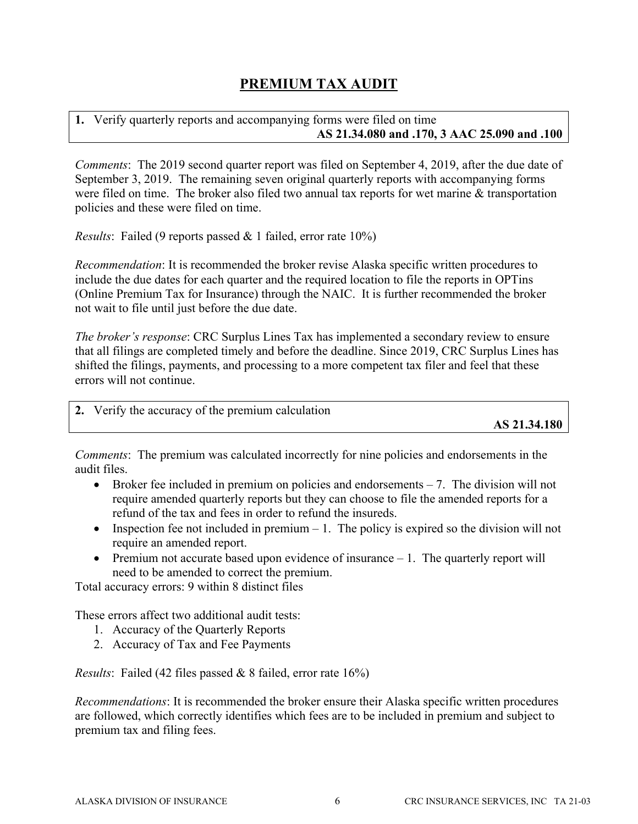### **PREMIUM TAX AUDIT**

### **1.** Verify quarterly reports and accompanying forms were filed on time **AS 21.34.080 and .170, 3 AAC 25.090 and .100**

*Comments*: The 2019 second quarter report was filed on September 4, 2019, after the due date of September 3, 2019. The remaining seven original quarterly reports with accompanying forms were filed on time. The broker also filed two annual tax reports for wet marine & transportation policies and these were filed on time.

*Results*: Failed (9 reports passed & 1 failed, error rate 10%)

*Recommendation*: It is recommended the broker revise Alaska specific written procedures to include the due dates for each quarter and the required location to file the reports in OPTins (Online Premium Tax for Insurance) through the NAIC. It is further recommended the broker not wait to file until just before the due date.

*The broker's response*: CRC Surplus Lines Tax has implemented a secondary review to ensure that all filings are completed timely and before the deadline. Since 2019, CRC Surplus Lines has shifted the filings, payments, and processing to a more competent tax filer and feel that these errors will not continue.

**2.** Verify the accuracy of the premium calculation

**AS 21.34.180** 

*Comments*: The premium was calculated incorrectly for nine policies and endorsements in the audit files.

- $\bullet$  Broker fee included in premium on policies and endorsements  $-7$ . The division will not require amended quarterly reports but they can choose to file the amended reports for a refund of the tax and fees in order to refund the insureds.
- Inspection fee not included in premium  $-1$ . The policy is expired so the division will not require an amended report.
- $\bullet$  Premium not accurate based upon evidence of insurance  $-1$ . The quarterly report will need to be amended to correct the premium.

Total accuracy errors: 9 within 8 distinct files

These errors affect two additional audit tests:

- 1. Accuracy of the Quarterly Reports
- 2. Accuracy of Tax and Fee Payments

*Results*: Failed (42 files passed & 8 failed, error rate 16%)

*Recommendations*: It is recommended the broker ensure their Alaska specific written procedures are followed, which correctly identifies which fees are to be included in premium and subject to premium tax and filing fees.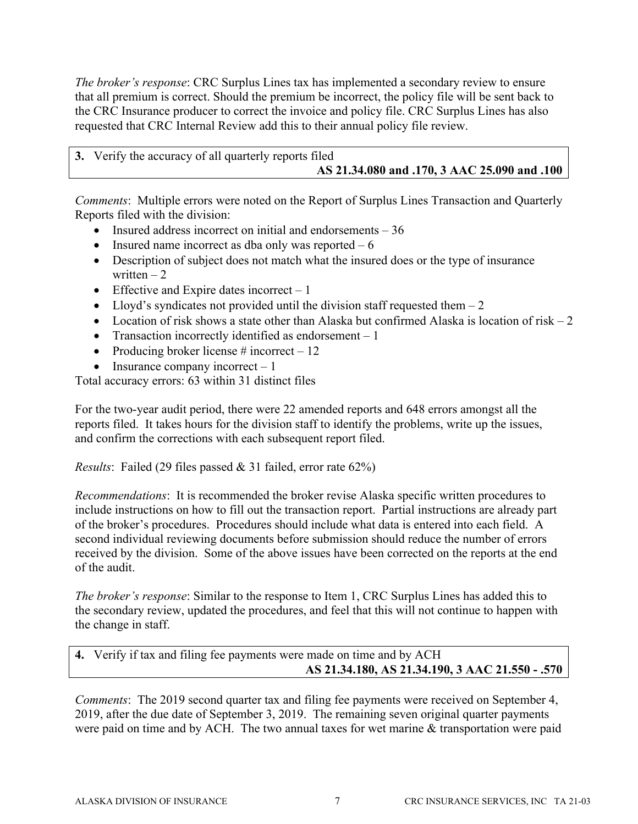*The broker's response*: CRC Surplus Lines tax has implemented a secondary review to ensure that all premium is correct. Should the premium be incorrect, the policy file will be sent back to the CRC Insurance producer to correct the invoice and policy file. CRC Surplus Lines has also requested that CRC Internal Review add this to their annual policy file review.

| 3. Verify the accuracy of all quarterly reports filed |
|-------------------------------------------------------|
| AS 21.34.080 and .170, 3 AAC 25.090 and .100          |

*Comments*: Multiple errors were noted on the Report of Surplus Lines Transaction and Quarterly Reports filed with the division:

- Insured address incorrect on initial and endorsements  $-36$
- Insured name incorrect as dba only was reported  $-6$
- Description of subject does not match what the insured does or the type of insurance written  $-2$
- $\bullet$  Effective and Expire dates incorrect 1
- Lloyd's syndicates not provided until the division staff requested them  $-2$
- Location of risk shows a state other than Alaska but confirmed Alaska is location of risk  $-2$
- Transaction incorrectly identified as endorsement  $-1$
- Producing broker license  $\#$  incorrect  $-12$
- Insurance company incorrect  $-1$

Total accuracy errors: 63 within 31 distinct files

For the two-year audit period, there were 22 amended reports and 648 errors amongst all the reports filed. It takes hours for the division staff to identify the problems, write up the issues, and confirm the corrections with each subsequent report filed.

*Results*: Failed (29 files passed & 31 failed, error rate 62%)

*Recommendations*: It is recommended the broker revise Alaska specific written procedures to include instructions on how to fill out the transaction report. Partial instructions are already part of the broker's procedures. Procedures should include what data is entered into each field. A second individual reviewing documents before submission should reduce the number of errors received by the division. Some of the above issues have been corrected on the reports at the end of the audit.

*The broker's response*: Similar to the response to Item 1, CRC Surplus Lines has added this to the secondary review, updated the procedures, and feel that this will not continue to happen with the change in staff.

**4.** Verify if tax and filing fee payments were made on time and by ACH **AS 21.34.180, AS 21.34.190, 3 AAC 21.550 - .570** 

*Comments*: The 2019 second quarter tax and filing fee payments were received on September 4, 2019, after the due date of September 3, 2019. The remaining seven original quarter payments were paid on time and by ACH. The two annual taxes for wet marine & transportation were paid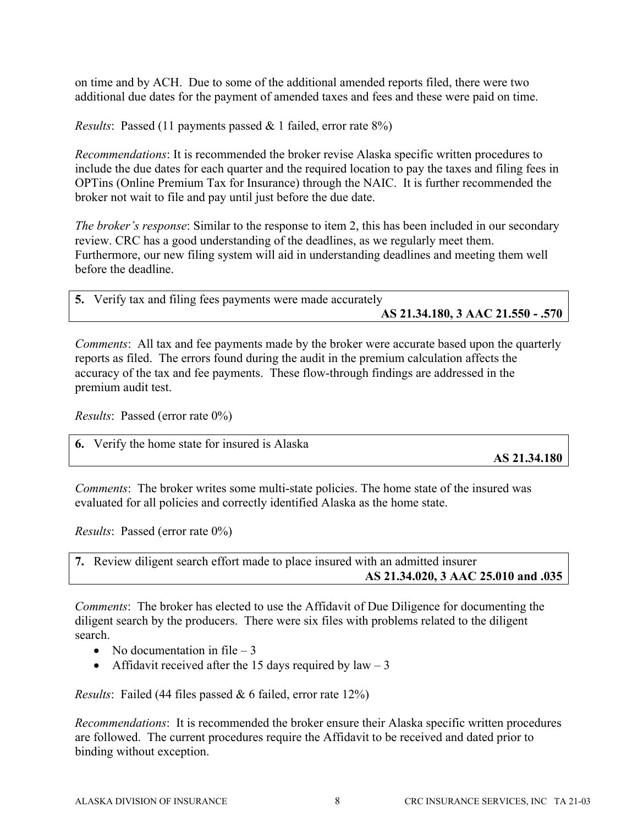on time and by ACH. Due to some of the additional amended reports filed, there were two additional due dates for the payment of amended taxes and fees and these were paid on time.

*Results*: Passed (11 payments passed & 1 failed, error rate 8%)

*Recommendations*: It is recommended the broker revise Alaska specific written procedures to include the due dates for each quarter and the required location to pay the taxes and filing fees in OPTins (Online Premium Tax for Insurance) through the NAIC. It is further recommended the broker not wait to file and pay until just before the due date.

*The broker's response*: Similar to the response to item 2, this has been included in our secondary review. CRC has a good understanding of the deadlines, as we regularly meet them. Furthermore, our new filing system will aid in understanding deadlines and meeting them well before the deadline.

| 5. Verify tax and filing fees payments were made accurately |
|-------------------------------------------------------------|
| AS 21.34.180, 3 AAC 21.550 - .570                           |

*Comments*: All tax and fee payments made by the broker were accurate based upon the quarterly reports as filed. The errors found during the audit in the premium calculation affects the accuracy of the tax and fee payments. These flow-through findings are addressed in the premium audit test.

*Results*: Passed (error rate 0%)

|--|

**AS 21.34.180** 

*Comments*: The broker writes some multi-state policies. The home state of the insured was evaluated for all policies and correctly identified Alaska as the home state.

*Results*: Passed (error rate 0%)

**7.** Review diligent search effort made to place insured with an admitted insurer **AS 21.34.020, 3 AAC 25.010 and .035** 

*Comments*: The broker has elected to use the Affidavit of Due Diligence for documenting the diligent search by the producers. There were six files with problems related to the diligent search.

- No documentation in file  $-3$
- Affidavit received after the 15 days required by  $law 3$

*Results*: Failed (44 files passed & 6 failed, error rate 12%)

*Recommendations*: It is recommended the broker ensure their Alaska specific written procedures are followed. The current procedures require the Affidavit to be received and dated prior to binding without exception.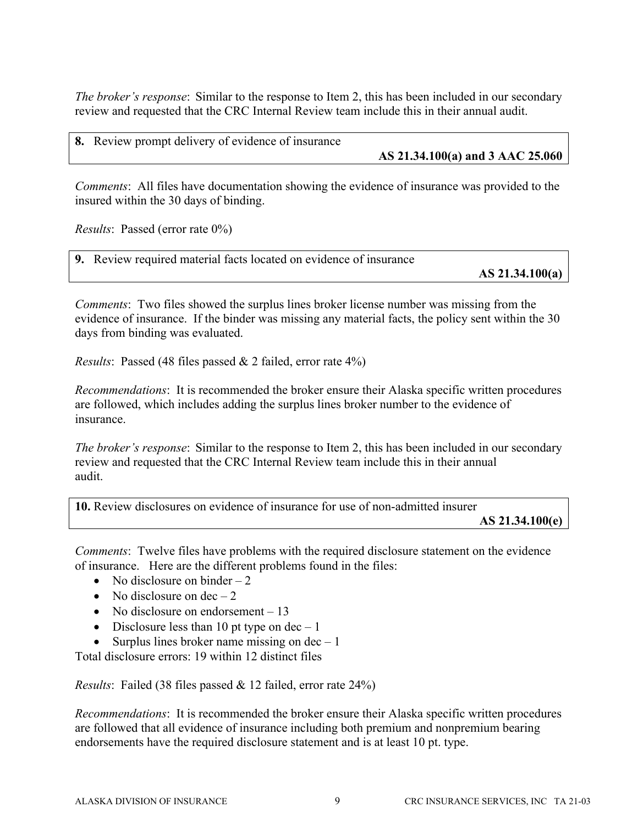*The broker's response*: Similar to the response to Item 2, this has been included in our secondary review and requested that the CRC Internal Review team include this in their annual audit.

**8.** Review prompt delivery of evidence of insurance

### **AS 21.34.100(a) and 3 AAC 25.060**

*Comments*: All files have documentation showing the evidence of insurance was provided to the insured within the 30 days of binding.

*Results*: Passed (error rate 0%)

| <b>9.</b> Review required material facts located on evidence of insurance |                   |
|---------------------------------------------------------------------------|-------------------|
|                                                                           | AS $21.34.100(a)$ |

*Comments*: Two files showed the surplus lines broker license number was missing from the evidence of insurance. If the binder was missing any material facts, the policy sent within the 30 days from binding was evaluated.

*Results*: Passed (48 files passed & 2 failed, error rate 4%)

*Recommendations*: It is recommended the broker ensure their Alaska specific written procedures are followed, which includes adding the surplus lines broker number to the evidence of insurance.

*The broker's response*: Similar to the response to Item 2, this has been included in our secondary review and requested that the CRC Internal Review team include this in their annual audit.

**10.** Review disclosures on evidence of insurance for use of non-admitted insurer

**AS 21.34.100(e)** 

*Comments*: Twelve files have problems with the required disclosure statement on the evidence of insurance. Here are the different problems found in the files:

- No disclosure on binder  $-2$
- No disclosure on  $dec-2$
- No disclosure on endorsement  $-13$
- Disclosure less than 10 pt type on  $dec 1$
- Surplus lines broker name missing on  $dec 1$

Total disclosure errors: 19 within 12 distinct files

*Results*: Failed (38 files passed & 12 failed, error rate 24%)

*Recommendations*: It is recommended the broker ensure their Alaska specific written procedures are followed that all evidence of insurance including both premium and nonpremium bearing endorsements have the required disclosure statement and is at least 10 pt. type.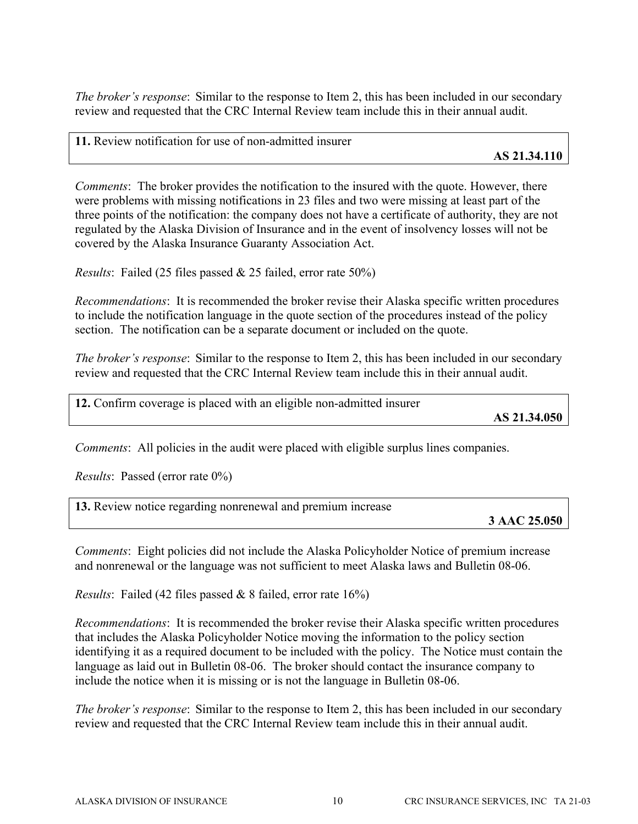*The broker's response*: Similar to the response to Item 2, this has been included in our secondary review and requested that the CRC Internal Review team include this in their annual audit.

**11.** Review notification for use of non-admitted insurer

*Comments*: The broker provides the notification to the insured with the quote. However, there were problems with missing notifications in 23 files and two were missing at least part of the three points of the notification: the company does not have a certificate of authority, they are not regulated by the Alaska Division of Insurance and in the event of insolvency losses will not be covered by the Alaska Insurance Guaranty Association Act.

*Results*: Failed (25 files passed & 25 failed, error rate 50%)

*Recommendations*: It is recommended the broker revise their Alaska specific written procedures to include the notification language in the quote section of the procedures instead of the policy section. The notification can be a separate document or included on the quote.

*The broker's response*: Similar to the response to Item 2, this has been included in our secondary review and requested that the CRC Internal Review team include this in their annual audit.

**12.** Confirm coverage is placed with an eligible non-admitted insurer

**AS 21.34.050** 

*Comments*: All policies in the audit were placed with eligible surplus lines companies.

*Results*: Passed (error rate 0%)

**13.** Review notice regarding nonrenewal and premium increase

**3 AAC 25.050** 

*Comments*: Eight policies did not include the Alaska Policyholder Notice of premium increase and nonrenewal or the language was not sufficient to meet Alaska laws and Bulletin 08-06.

*Results*: Failed (42 files passed & 8 failed, error rate 16%)

*Recommendations*: It is recommended the broker revise their Alaska specific written procedures that includes the Alaska Policyholder Notice moving the information to the policy section identifying it as a required document to be included with the policy. The Notice must contain the language as laid out in Bulletin 08-06. The broker should contact the insurance company to include the notice when it is missing or is not the language in Bulletin 08-06.

*The broker's response*: Similar to the response to Item 2, this has been included in our secondary review and requested that the CRC Internal Review team include this in their annual audit.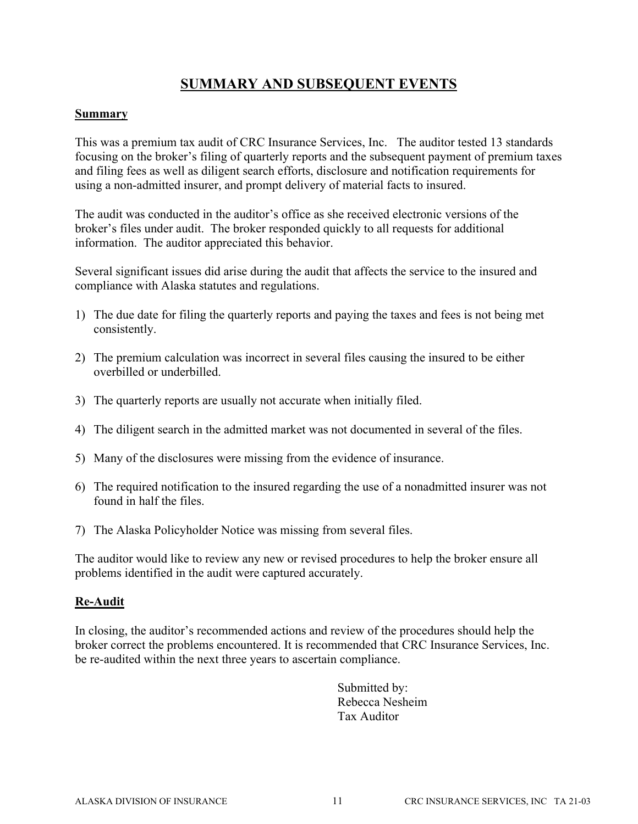### **SUMMARY AND SUBSEQUENT EVENTS**

### **Summary**

This was a premium tax audit of CRC Insurance Services, Inc. The auditor tested 13 standards focusing on the broker's filing of quarterly reports and the subsequent payment of premium taxes and filing fees as well as diligent search efforts, disclosure and notification requirements for using a non-admitted insurer, and prompt delivery of material facts to insured.

The audit was conducted in the auditor's office as she received electronic versions of the broker's files under audit. The broker responded quickly to all requests for additional information. The auditor appreciated this behavior.

Several significant issues did arise during the audit that affects the service to the insured and compliance with Alaska statutes and regulations.

- 1) The due date for filing the quarterly reports and paying the taxes and fees is not being met consistently.
- 2) The premium calculation was incorrect in several files causing the insured to be either overbilled or underbilled.
- 3) The quarterly reports are usually not accurate when initially filed.
- 4) The diligent search in the admitted market was not documented in several of the files.
- 5) Many of the disclosures were missing from the evidence of insurance.
- 6) The required notification to the insured regarding the use of a nonadmitted insurer was not found in half the files.
- 7) The Alaska Policyholder Notice was missing from several files.

The auditor would like to review any new or revised procedures to help the broker ensure all problems identified in the audit were captured accurately.

### **Re-Audit**

In closing, the auditor's recommended actions and review of the procedures should help the broker correct the problems encountered. It is recommended that CRC Insurance Services, Inc. be re-audited within the next three years to ascertain compliance.

> Submitted by: Rebecca Nesheim Tax Auditor